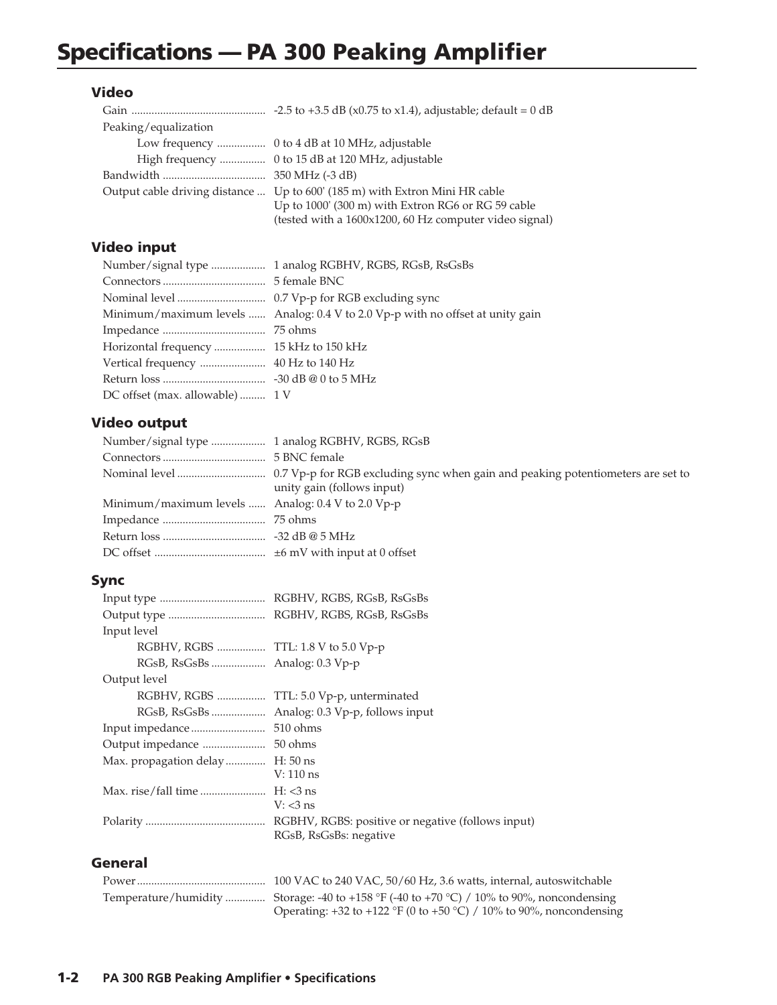# Specifications — PA 300 Peaking Amplifier

#### Video

| Peaking/equalization |                                                                             |
|----------------------|-----------------------------------------------------------------------------|
|                      |                                                                             |
|                      | High frequency  0 to 15 dB at 120 MHz, adjustable                           |
|                      |                                                                             |
|                      | Output cable driving distance  Up to 600' (185 m) with Extron Mini HR cable |
|                      | Up to 1000' (300 m) with Extron RG6 or RG 59 cable                          |
|                      | (tested with a 1600x1200, 60 Hz computer video signal)                      |

## Video input

|                                | Minimum/maximum levels  Analog: 0.4 V to 2.0 Vp-p with no offset at unity gain |
|--------------------------------|--------------------------------------------------------------------------------|
|                                |                                                                                |
|                                |                                                                                |
|                                |                                                                                |
|                                |                                                                                |
| DC offset (max. allowable) 1 V |                                                                                |

### Video output

| unity gain (follows input)                        |
|---------------------------------------------------|
| Minimum/maximum levels  Analog: 0.4 V to 2.0 Vp-p |
|                                                   |
|                                                   |
|                                                   |
|                                                   |

#### Sync

| Input level                         |                                          |
|-------------------------------------|------------------------------------------|
| RGBHV, RGBS  TTL: 1.8 V to 5.0 Vp-p |                                          |
|                                     |                                          |
| Output level                        |                                          |
|                                     | RGBHV, RGBS  TTL: 5.0 Vp-p, unterminated |
|                                     |                                          |
|                                     |                                          |
|                                     |                                          |
| Max. propagation delay              | $H: 50$ ns                               |
|                                     | $V: 110$ ns                              |
|                                     |                                          |
|                                     | $V: < 3$ ns                              |
|                                     |                                          |
|                                     | RGsB, RsGsBs: negative                   |
|                                     |                                          |

#### General

| Temperature/humidity  Storage: -40 to +158 °F (-40 to +70 °C) / 10% to 90%, noncondensing |
|-------------------------------------------------------------------------------------------|
| Operating: +32 to +122 °F (0 to +50 °C) / 10% to 90%, noncondensing                       |